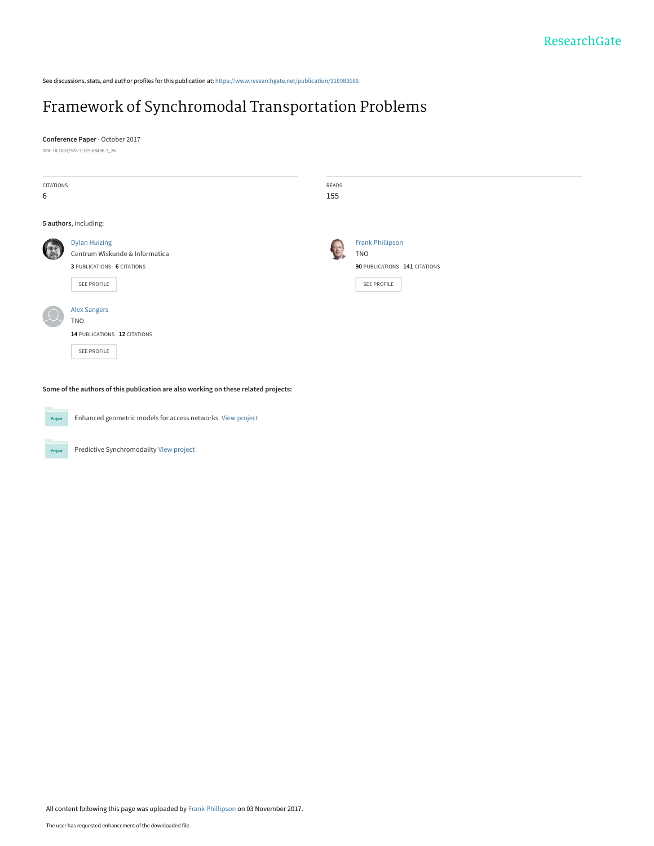See discussions, stats, and author profiles for this publication at: [https://www.researchgate.net/publication/318983666](https://www.researchgate.net/publication/318983666_Framework_of_Synchromodal_Transportation_Problems?enrichId=rgreq-e8083b69788ead05dd9d000fa78ef557-XXX&enrichSource=Y292ZXJQYWdlOzMxODk4MzY2NjtBUzo1NTY1MTkwMzI4ODExNTJAMTUwOTY5NTg4NTg3OQ%3D%3D&el=1_x_2&_esc=publicationCoverPdf)

# [Framework of Synchromodal Transportation Problems](https://www.researchgate.net/publication/318983666_Framework_of_Synchromodal_Transportation_Problems?enrichId=rgreq-e8083b69788ead05dd9d000fa78ef557-XXX&enrichSource=Y292ZXJQYWdlOzMxODk4MzY2NjtBUzo1NTY1MTkwMzI4ODExNTJAMTUwOTY5NTg4NTg3OQ%3D%3D&el=1_x_3&_esc=publicationCoverPdf)

**Conference Paper** · October 2017

DOI: 10.1007/978-3-319-68496-3\_26

| CITATIONS<br>6 |                                                        | READS<br>155   |                                       |  |  |
|----------------|--------------------------------------------------------|----------------|---------------------------------------|--|--|
|                | 5 authors, including:                                  |                |                                       |  |  |
|                | <b>Dylan Huizing</b><br>Centrum Wiskunde & Informatica | $\overline{a}$ | <b>Frank Phillipson</b><br><b>TNO</b> |  |  |
|                | 3 PUBLICATIONS 6 CITATIONS                             |                | 90 PUBLICATIONS 141 CITATIONS         |  |  |
|                | SEE PROFILE                                            |                | SEE PROFILE                           |  |  |
|                | <b>Alex Sangers</b><br><b>TNO</b>                      |                |                                       |  |  |
|                | 14 PUBLICATIONS 12 CITATIONS                           |                |                                       |  |  |
|                | SEE PROFILE                                            |                |                                       |  |  |

**Some of the authors of this publication are also working on these related projects:**

Enhanced geometric models for access networks. [View project](https://www.researchgate.net/project/Enhanced-geometric-models-for-access-networks?enrichId=rgreq-e8083b69788ead05dd9d000fa78ef557-XXX&enrichSource=Y292ZXJQYWdlOzMxODk4MzY2NjtBUzo1NTY1MTkwMzI4ODExNTJAMTUwOTY5NTg4NTg3OQ%3D%3D&el=1_x_9&_esc=publicationCoverPdf) Project

Predictive Synchromodality [View project](https://www.researchgate.net/project/Predictive-Synchromodality?enrichId=rgreq-e8083b69788ead05dd9d000fa78ef557-XXX&enrichSource=Y292ZXJQYWdlOzMxODk4MzY2NjtBUzo1NTY1MTkwMzI4ODExNTJAMTUwOTY5NTg4NTg3OQ%3D%3D&el=1_x_9&_esc=publicationCoverPdf)

Project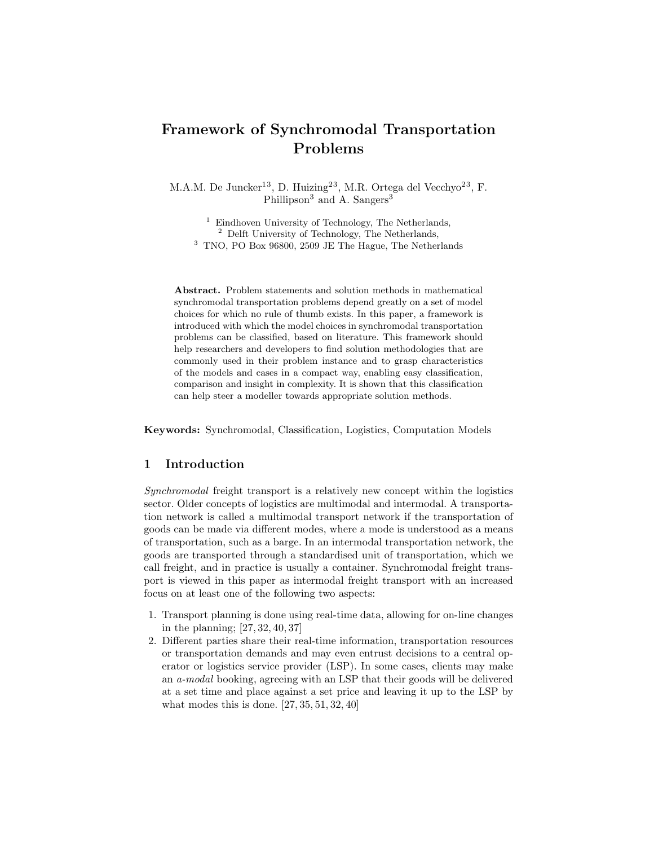## Framework of Synchromodal Transportation Problems

M.A.M. De Juncker<sup>13</sup>, D. Huizing<sup>23</sup>, M.R. Ortega del Vecchyo<sup>23</sup>, F. Phillipson<sup>3</sup> and A. Sangers<sup>3</sup>

 $1$  Eindhoven University of Technology, The Netherlands, <sup>2</sup> Delft University of Technology, The Netherlands, <sup>3</sup> TNO, PO Box 96800, 2509 JE The Hague, The Netherlands

Abstract. Problem statements and solution methods in mathematical synchromodal transportation problems depend greatly on a set of model choices for which no rule of thumb exists. In this paper, a framework is introduced with which the model choices in synchromodal transportation problems can be classified, based on literature. This framework should help researchers and developers to find solution methodologies that are commonly used in their problem instance and to grasp characteristics of the models and cases in a compact way, enabling easy classification, comparison and insight in complexity. It is shown that this classification can help steer a modeller towards appropriate solution methods.

Keywords: Synchromodal, Classification, Logistics, Computation Models

## 1 Introduction

Synchromodal freight transport is a relatively new concept within the logistics sector. Older concepts of logistics are multimodal and intermodal. A transportation network is called a multimodal transport network if the transportation of goods can be made via different modes, where a mode is understood as a means of transportation, such as a barge. In an intermodal transportation network, the goods are transported through a standardised unit of transportation, which we call freight, and in practice is usually a container. Synchromodal freight transport is viewed in this paper as intermodal freight transport with an increased focus on at least one of the following two aspects:

- 1. Transport planning is done using real-time data, allowing for on-line changes in the planning; [27, 32, 40, 37]
- 2. Different parties share their real-time information, transportation resources or transportation demands and may even entrust decisions to a central operator or logistics service provider (LSP). In some cases, clients may make an a-modal booking, agreeing with an LSP that their goods will be delivered at a set time and place against a set price and leaving it up to the LSP by what modes this is done. [27, 35, 51, 32, 40]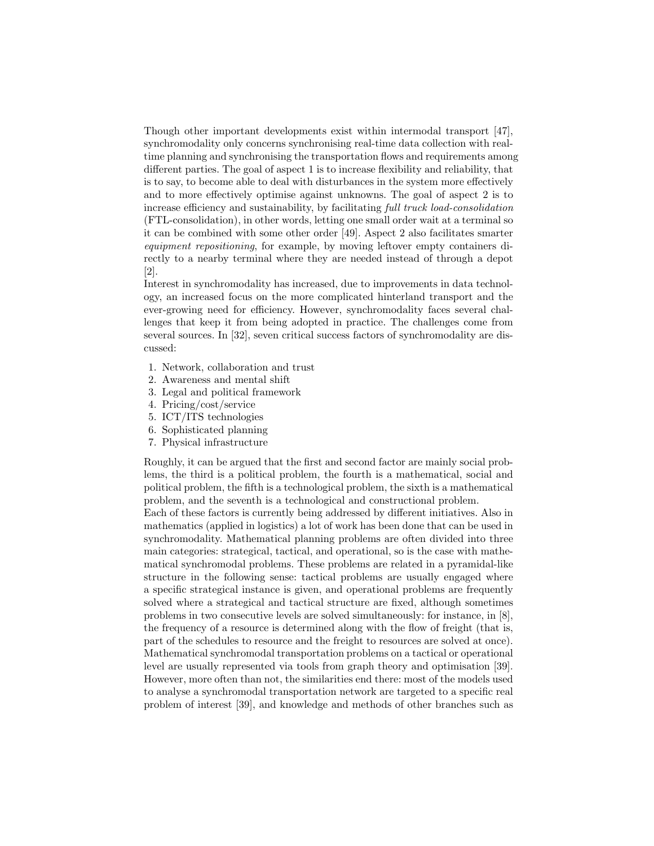Though other important developments exist within intermodal transport [47], synchromodality only concerns synchronising real-time data collection with realtime planning and synchronising the transportation flows and requirements among different parties. The goal of aspect 1 is to increase flexibility and reliability, that is to say, to become able to deal with disturbances in the system more effectively and to more effectively optimise against unknowns. The goal of aspect 2 is to increase efficiency and sustainability, by facilitating full truck load-consolidation (FTL-consolidation), in other words, letting one small order wait at a terminal so it can be combined with some other order [49]. Aspect 2 also facilitates smarter equipment repositioning, for example, by moving leftover empty containers directly to a nearby terminal where they are needed instead of through a depot [2].

Interest in synchromodality has increased, due to improvements in data technology, an increased focus on the more complicated hinterland transport and the ever-growing need for efficiency. However, synchromodality faces several challenges that keep it from being adopted in practice. The challenges come from several sources. In [32], seven critical success factors of synchromodality are discussed:

- 1. Network, collaboration and trust
- 2. Awareness and mental shift
- 3. Legal and political framework
- 4. Pricing/cost/service
- 5. ICT/ITS technologies
- 6. Sophisticated planning
- 7. Physical infrastructure

Roughly, it can be argued that the first and second factor are mainly social problems, the third is a political problem, the fourth is a mathematical, social and political problem, the fifth is a technological problem, the sixth is a mathematical problem, and the seventh is a technological and constructional problem.

Each of these factors is currently being addressed by different initiatives. Also in mathematics (applied in logistics) a lot of work has been done that can be used in synchromodality. Mathematical planning problems are often divided into three main categories: strategical, tactical, and operational, so is the case with mathematical synchromodal problems. These problems are related in a pyramidal-like structure in the following sense: tactical problems are usually engaged where a specific strategical instance is given, and operational problems are frequently solved where a strategical and tactical structure are fixed, although sometimes problems in two consecutive levels are solved simultaneously: for instance, in [8], the frequency of a resource is determined along with the flow of freight (that is, part of the schedules to resource and the freight to resources are solved at once). Mathematical synchromodal transportation problems on a tactical or operational level are usually represented via tools from graph theory and optimisation [39]. However, more often than not, the similarities end there: most of the models used to analyse a synchromodal transportation network are targeted to a specific real problem of interest [39], and knowledge and methods of other branches such as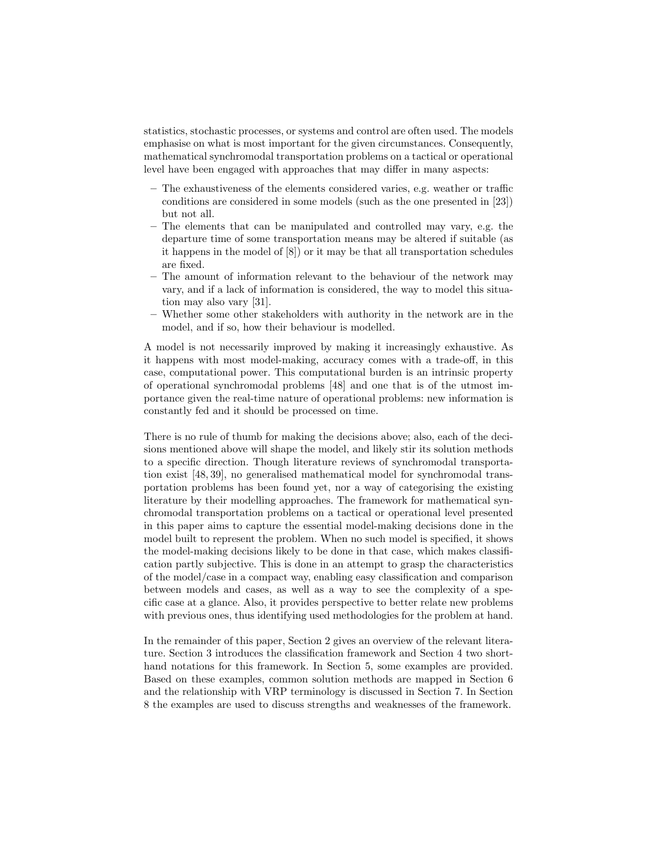statistics, stochastic processes, or systems and control are often used. The models emphasise on what is most important for the given circumstances. Consequently, mathematical synchromodal transportation problems on a tactical or operational level have been engaged with approaches that may differ in many aspects:

- The exhaustiveness of the elements considered varies, e.g. weather or traffic conditions are considered in some models (such as the one presented in [23]) but not all.
- The elements that can be manipulated and controlled may vary, e.g. the departure time of some transportation means may be altered if suitable (as it happens in the model of [8]) or it may be that all transportation schedules are fixed.
- The amount of information relevant to the behaviour of the network may vary, and if a lack of information is considered, the way to model this situation may also vary [31].
- Whether some other stakeholders with authority in the network are in the model, and if so, how their behaviour is modelled.

A model is not necessarily improved by making it increasingly exhaustive. As it happens with most model-making, accuracy comes with a trade-off, in this case, computational power. This computational burden is an intrinsic property of operational synchromodal problems [48] and one that is of the utmost importance given the real-time nature of operational problems: new information is constantly fed and it should be processed on time.

There is no rule of thumb for making the decisions above; also, each of the decisions mentioned above will shape the model, and likely stir its solution methods to a specific direction. Though literature reviews of synchromodal transportation exist [48, 39], no generalised mathematical model for synchromodal transportation problems has been found yet, nor a way of categorising the existing literature by their modelling approaches. The framework for mathematical synchromodal transportation problems on a tactical or operational level presented in this paper aims to capture the essential model-making decisions done in the model built to represent the problem. When no such model is specified, it shows the model-making decisions likely to be done in that case, which makes classification partly subjective. This is done in an attempt to grasp the characteristics of the model/case in a compact way, enabling easy classification and comparison between models and cases, as well as a way to see the complexity of a specific case at a glance. Also, it provides perspective to better relate new problems with previous ones, thus identifying used methodologies for the problem at hand.

In the remainder of this paper, Section 2 gives an overview of the relevant literature. Section 3 introduces the classification framework and Section 4 two shorthand notations for this framework. In Section 5, some examples are provided. Based on these examples, common solution methods are mapped in Section 6 and the relationship with VRP terminology is discussed in Section 7. In Section 8 the examples are used to discuss strengths and weaknesses of the framework.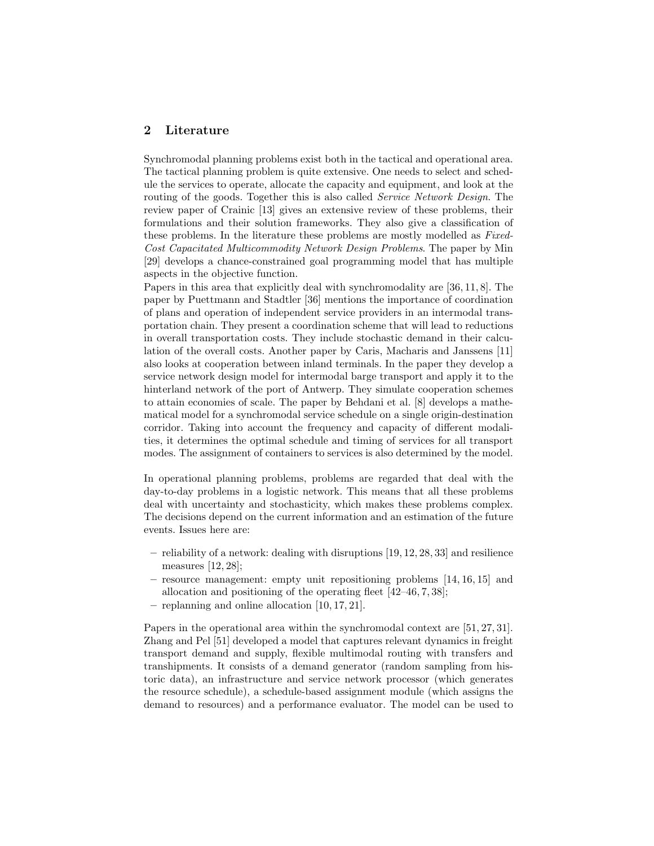## 2 Literature

Synchromodal planning problems exist both in the tactical and operational area. The tactical planning problem is quite extensive. One needs to select and schedule the services to operate, allocate the capacity and equipment, and look at the routing of the goods. Together this is also called *Service Network Design*. The review paper of Crainic [13] gives an extensive review of these problems, their formulations and their solution frameworks. They also give a classification of these problems. In the literature these problems are mostly modelled as Fixed-Cost Capacitated Multicommodity Network Design Problems. The paper by Min [29] develops a chance-constrained goal programming model that has multiple aspects in the objective function.

Papers in this area that explicitly deal with synchromodality are [36, 11, 8]. The paper by Puettmann and Stadtler [36] mentions the importance of coordination of plans and operation of independent service providers in an intermodal transportation chain. They present a coordination scheme that will lead to reductions in overall transportation costs. They include stochastic demand in their calculation of the overall costs. Another paper by Caris, Macharis and Janssens [11] also looks at cooperation between inland terminals. In the paper they develop a service network design model for intermodal barge transport and apply it to the hinterland network of the port of Antwerp. They simulate cooperation schemes to attain economies of scale. The paper by Behdani et al. [8] develops a mathematical model for a synchromodal service schedule on a single origin-destination corridor. Taking into account the frequency and capacity of different modalities, it determines the optimal schedule and timing of services for all transport modes. The assignment of containers to services is also determined by the model.

In operational planning problems, problems are regarded that deal with the day-to-day problems in a logistic network. This means that all these problems deal with uncertainty and stochasticity, which makes these problems complex. The decisions depend on the current information and an estimation of the future events. Issues here are:

- reliability of a network: dealing with disruptions [19, 12, 28, 33] and resilience measures [12, 28];
- resource management: empty unit repositioning problems [14, 16, 15] and allocation and positioning of the operating fleet [42–46, 7, 38];
- replanning and online allocation [10, 17, 21].

Papers in the operational area within the synchromodal context are [51, 27, 31]. Zhang and Pel [51] developed a model that captures relevant dynamics in freight transport demand and supply, flexible multimodal routing with transfers and transhipments. It consists of a demand generator (random sampling from historic data), an infrastructure and service network processor (which generates the resource schedule), a schedule-based assignment module (which assigns the demand to resources) and a performance evaluator. The model can be used to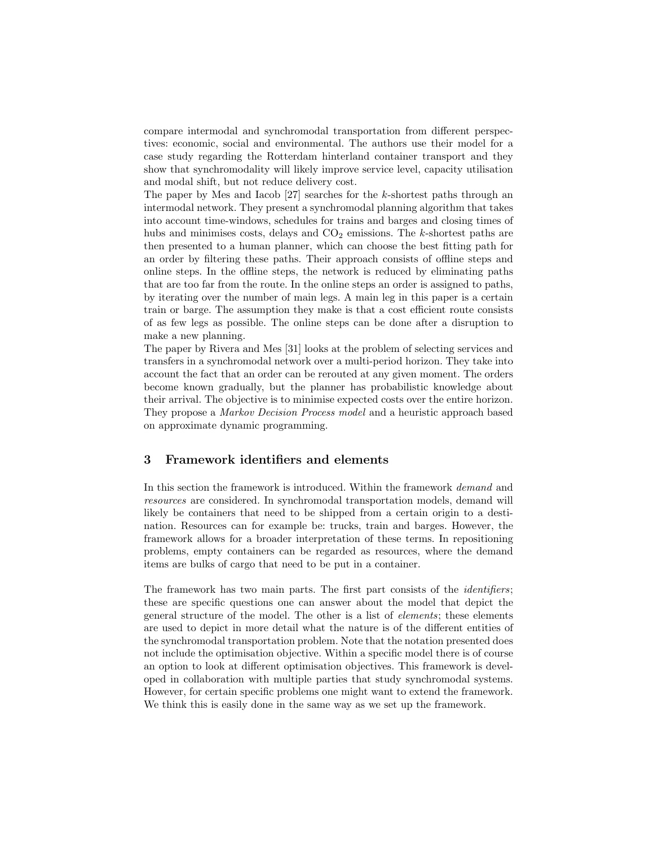compare intermodal and synchromodal transportation from different perspectives: economic, social and environmental. The authors use their model for a case study regarding the Rotterdam hinterland container transport and they show that synchromodality will likely improve service level, capacity utilisation and modal shift, but not reduce delivery cost.

The paper by Mes and Iacob  $[27]$  searches for the k-shortest paths through an intermodal network. They present a synchromodal planning algorithm that takes into account time-windows, schedules for trains and barges and closing times of hubs and minimises costs, delays and  $CO<sub>2</sub>$  emissions. The k-shortest paths are then presented to a human planner, which can choose the best fitting path for an order by filtering these paths. Their approach consists of offline steps and online steps. In the offline steps, the network is reduced by eliminating paths that are too far from the route. In the online steps an order is assigned to paths, by iterating over the number of main legs. A main leg in this paper is a certain train or barge. The assumption they make is that a cost efficient route consists of as few legs as possible. The online steps can be done after a disruption to make a new planning.

The paper by Rivera and Mes [31] looks at the problem of selecting services and transfers in a synchromodal network over a multi-period horizon. They take into account the fact that an order can be rerouted at any given moment. The orders become known gradually, but the planner has probabilistic knowledge about their arrival. The objective is to minimise expected costs over the entire horizon. They propose a Markov Decision Process model and a heuristic approach based on approximate dynamic programming.

### 3 Framework identifiers and elements

In this section the framework is introduced. Within the framework demand and resources are considered. In synchromodal transportation models, demand will likely be containers that need to be shipped from a certain origin to a destination. Resources can for example be: trucks, train and barges. However, the framework allows for a broader interpretation of these terms. In repositioning problems, empty containers can be regarded as resources, where the demand items are bulks of cargo that need to be put in a container.

The framework has two main parts. The first part consists of the identifiers; these are specific questions one can answer about the model that depict the general structure of the model. The other is a list of elements; these elements are used to depict in more detail what the nature is of the different entities of the synchromodal transportation problem. Note that the notation presented does not include the optimisation objective. Within a specific model there is of course an option to look at different optimisation objectives. This framework is developed in collaboration with multiple parties that study synchromodal systems. However, for certain specific problems one might want to extend the framework. We think this is easily done in the same way as we set up the framework.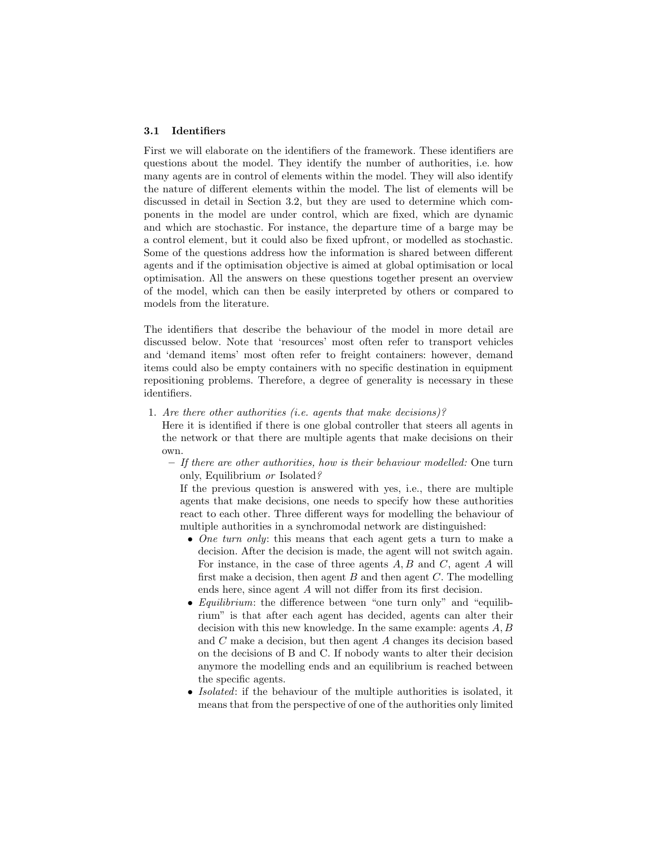#### 3.1 Identifiers

First we will elaborate on the identifiers of the framework. These identifiers are questions about the model. They identify the number of authorities, i.e. how many agents are in control of elements within the model. They will also identify the nature of different elements within the model. The list of elements will be discussed in detail in Section 3.2, but they are used to determine which components in the model are under control, which are fixed, which are dynamic and which are stochastic. For instance, the departure time of a barge may be a control element, but it could also be fixed upfront, or modelled as stochastic. Some of the questions address how the information is shared between different agents and if the optimisation objective is aimed at global optimisation or local optimisation. All the answers on these questions together present an overview of the model, which can then be easily interpreted by others or compared to models from the literature.

The identifiers that describe the behaviour of the model in more detail are discussed below. Note that 'resources' most often refer to transport vehicles and 'demand items' most often refer to freight containers: however, demand items could also be empty containers with no specific destination in equipment repositioning problems. Therefore, a degree of generality is necessary in these identifiers.

1. Are there other authorities (i.e. agents that make decisions)?

Here it is identified if there is one global controller that steers all agents in the network or that there are multiple agents that make decisions on their own.

– If there are other authorities, how is their behaviour modelled: One turn only, Equilibrium or Isolated?

If the previous question is answered with yes, i.e., there are multiple agents that make decisions, one needs to specify how these authorities react to each other. Three different ways for modelling the behaviour of multiple authorities in a synchromodal network are distinguished:

- One turn only: this means that each agent gets a turn to make a decision. After the decision is made, the agent will not switch again. For instance, in the case of three agents  $A, B$  and  $C$ , agent  $A$  will first make a decision, then agent  $B$  and then agent  $C$ . The modelling ends here, since agent A will not differ from its first decision.
- *Equilibrium*: the difference between "one turn only" and "equilibrium" is that after each agent has decided, agents can alter their decision with this new knowledge. In the same example: agents  $A, B$ and C make a decision, but then agent A changes its decision based on the decisions of B and C. If nobody wants to alter their decision anymore the modelling ends and an equilibrium is reached between the specific agents.
- Isolated: if the behaviour of the multiple authorities is isolated, it means that from the perspective of one of the authorities only limited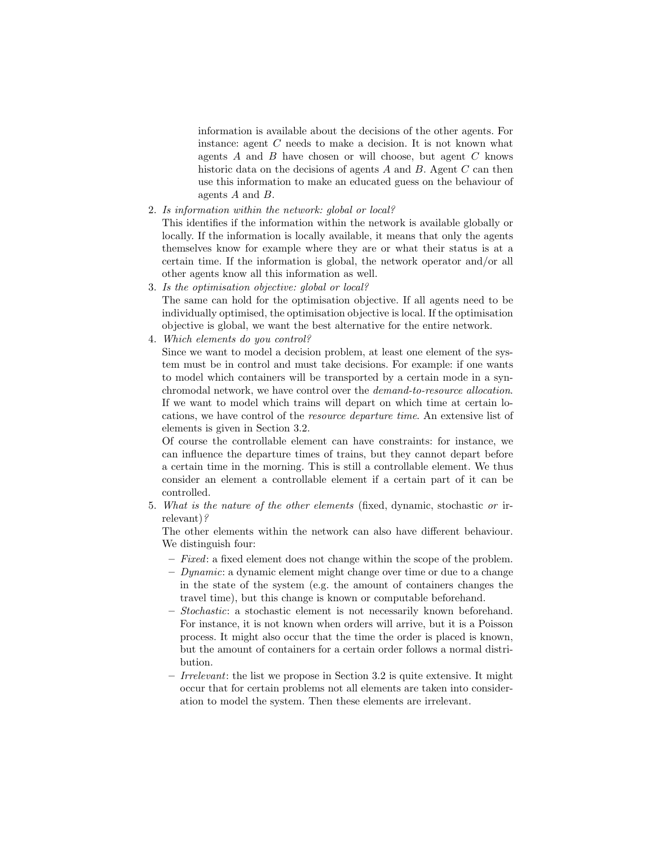information is available about the decisions of the other agents. For instance: agent C needs to make a decision. It is not known what agents  $A$  and  $B$  have chosen or will choose, but agent  $C$  knows historic data on the decisions of agents  $A$  and  $B$ . Agent  $C$  can then use this information to make an educated guess on the behaviour of agents A and B.

2. Is information within the network: global or local?

This identifies if the information within the network is available globally or locally. If the information is locally available, it means that only the agents themselves know for example where they are or what their status is at a certain time. If the information is global, the network operator and/or all other agents know all this information as well.

3. Is the optimisation objective: global or local?

The same can hold for the optimisation objective. If all agents need to be individually optimised, the optimisation objective is local. If the optimisation objective is global, we want the best alternative for the entire network.

4. Which elements do you control?

Since we want to model a decision problem, at least one element of the system must be in control and must take decisions. For example: if one wants to model which containers will be transported by a certain mode in a synchromodal network, we have control over the demand-to-resource allocation. If we want to model which trains will depart on which time at certain locations, we have control of the resource departure time. An extensive list of elements is given in Section 3.2.

Of course the controllable element can have constraints: for instance, we can influence the departure times of trains, but they cannot depart before a certain time in the morning. This is still a controllable element. We thus consider an element a controllable element if a certain part of it can be controlled.

5. What is the nature of the other elements (fixed, dynamic, stochastic or irrelevant)?

The other elements within the network can also have different behaviour. We distinguish four:

- Fixed: a fixed element does not change within the scope of the problem.
- $-$  Dynamic: a dynamic element might change over time or due to a change in the state of the system (e.g. the amount of containers changes the travel time), but this change is known or computable beforehand.
- Stochastic: a stochastic element is not necessarily known beforehand. For instance, it is not known when orders will arrive, but it is a Poisson process. It might also occur that the time the order is placed is known, but the amount of containers for a certain order follows a normal distribution.
- Irrelevant: the list we propose in Section 3.2 is quite extensive. It might occur that for certain problems not all elements are taken into consideration to model the system. Then these elements are irrelevant.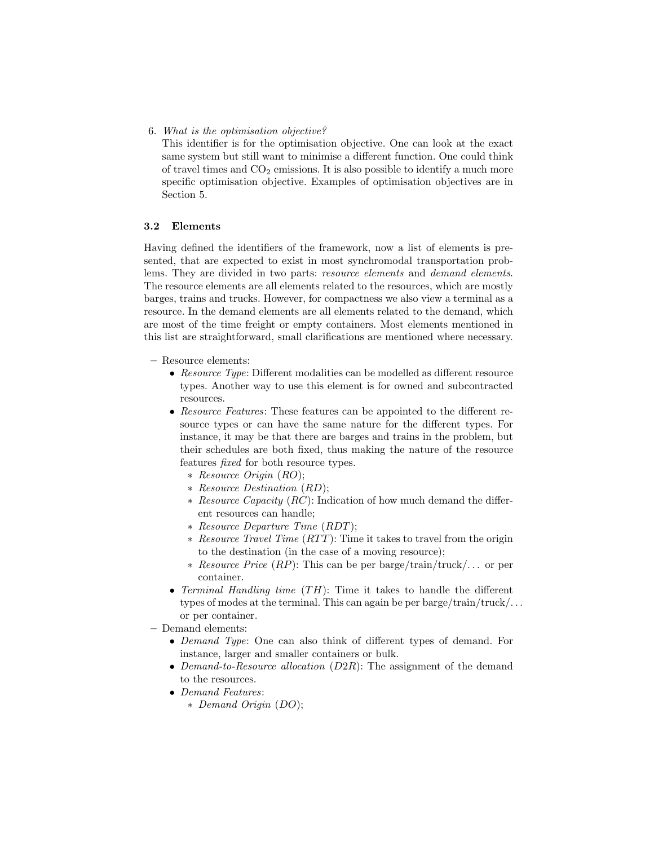#### 6. What is the optimisation objective?

This identifier is for the optimisation objective. One can look at the exact same system but still want to minimise a different function. One could think of travel times and  $CO<sub>2</sub>$  emissions. It is also possible to identify a much more specific optimisation objective. Examples of optimisation objectives are in Section 5.

#### 3.2 Elements

Having defined the identifiers of the framework, now a list of elements is presented, that are expected to exist in most synchromodal transportation problems. They are divided in two parts: *resource elements* and *demand elements*. The resource elements are all elements related to the resources, which are mostly barges, trains and trucks. However, for compactness we also view a terminal as a resource. In the demand elements are all elements related to the demand, which are most of the time freight or empty containers. Most elements mentioned in this list are straightforward, small clarifications are mentioned where necessary.

- Resource elements:
	- Resource Type: Different modalities can be modelled as different resource types. Another way to use this element is for owned and subcontracted resources.
	- Resource Features: These features can be appointed to the different resource types or can have the same nature for the different types. For instance, it may be that there are barges and trains in the problem, but their schedules are both fixed, thus making the nature of the resource features fixed for both resource types.
		- ∗ Resource Origin (RO);
		- ∗ Resource Destination (RD);
		- ∗ Resource Capacity (RC): Indication of how much demand the different resources can handle;
		- ∗ Resource Departure Time (RDT);
		- ∗ Resource Travel Time (RT T): Time it takes to travel from the origin to the destination (in the case of a moving resource);
		- ∗ Resource Price (RP): This can be per barge/train/truck/. . . or per container.
	- Terminal Handling time  $(TH)$ : Time it takes to handle the different types of modes at the terminal. This can again be per barge/train/truck/... or per container.
- Demand elements:
	- Demand Type: One can also think of different types of demand. For instance, larger and smaller containers or bulk.
	- Demand-to-Resource allocation  $(D2R)$ : The assignment of the demand to the resources.
	- Demand Features:
		- ∗ Demand Origin (DO);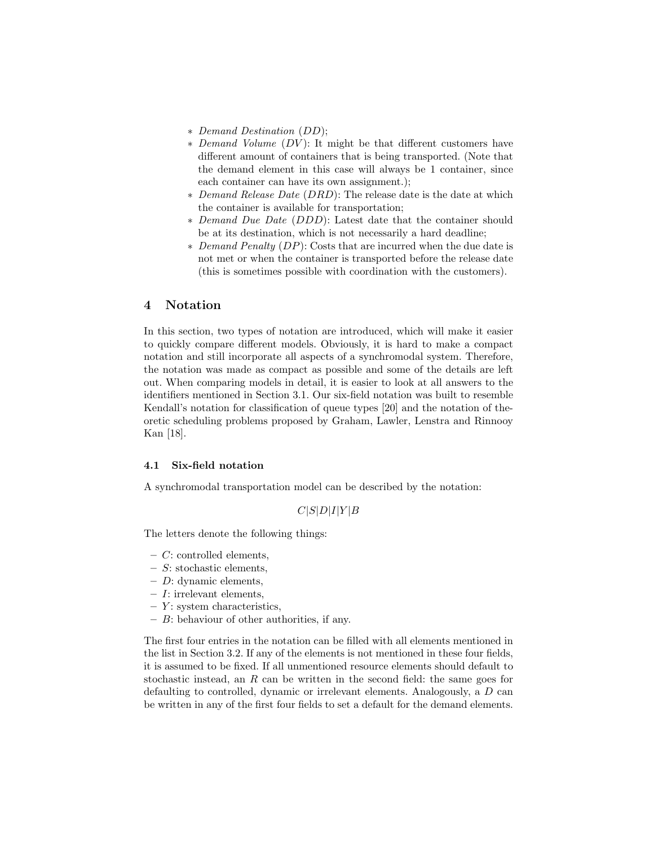- ∗ Demand Destination (DD);
- ∗ Demand Volume (DV ): It might be that different customers have different amount of containers that is being transported. (Note that the demand element in this case will always be 1 container, since each container can have its own assignment.);
- ∗ Demand Release Date (DRD): The release date is the date at which the container is available for transportation;
- ∗ Demand Due Date (DDD): Latest date that the container should be at its destination, which is not necessarily a hard deadline;
- ∗ Demand Penalty (DP): Costs that are incurred when the due date is not met or when the container is transported before the release date (this is sometimes possible with coordination with the customers).

## 4 Notation

In this section, two types of notation are introduced, which will make it easier to quickly compare different models. Obviously, it is hard to make a compact notation and still incorporate all aspects of a synchromodal system. Therefore, the notation was made as compact as possible and some of the details are left out. When comparing models in detail, it is easier to look at all answers to the identifiers mentioned in Section 3.1. Our six-field notation was built to resemble Kendall's notation for classification of queue types [20] and the notation of theoretic scheduling problems proposed by Graham, Lawler, Lenstra and Rinnooy Kan [18].

#### 4.1 Six-field notation

A synchromodal transportation model can be described by the notation:

#### $C|S|D|I|Y|B$

The letters denote the following things:

- $-$  C: controlled elements,
- $S:$  stochastic elements,
- $D$ : dynamic elements,
- $I:$  irrelevant elements,
- $-$  Y: system characteristics,
- B: behaviour of other authorities, if any.

The first four entries in the notation can be filled with all elements mentioned in the list in Section 3.2. If any of the elements is not mentioned in these four fields, it is assumed to be fixed. If all unmentioned resource elements should default to stochastic instead, an R can be written in the second field: the same goes for defaulting to controlled, dynamic or irrelevant elements. Analogously, a D can be written in any of the first four fields to set a default for the demand elements.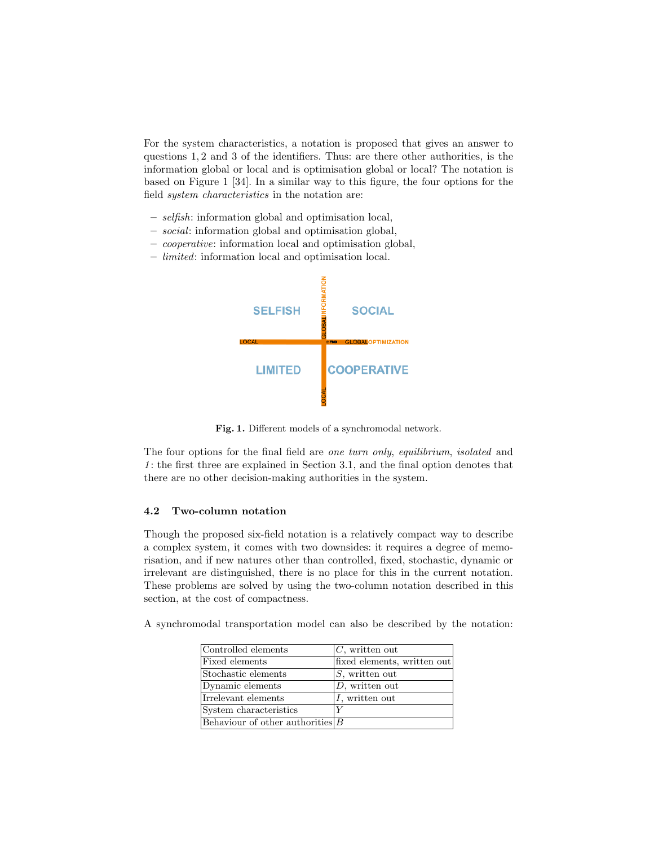For the system characteristics, a notation is proposed that gives an answer to questions 1, 2 and 3 of the identifiers. Thus: are there other authorities, is the information global or local and is optimisation global or local? The notation is based on Figure 1 [34]. In a similar way to this figure, the four options for the field system characteristics in the notation are:

- selfish: information global and optimisation local,
- social: information global and optimisation global,
- cooperative: information local and optimisation global,
- limited: information local and optimisation local.



Fig. 1. Different models of a synchromodal network.

The four options for the final field are one turn only, equilibrium, isolated and 1 : the first three are explained in Section 3.1, and the final option denotes that there are no other decision-making authorities in the system.

#### 4.2 Two-column notation

Though the proposed six-field notation is a relatively compact way to describe a complex system, it comes with two downsides: it requires a degree of memorisation, and if new natures other than controlled, fixed, stochastic, dynamic or irrelevant are distinguished, there is no place for this in the current notation. These problems are solved by using the two-column notation described in this section, at the cost of compactness.

A synchromodal transportation model can also be described by the notation:

| Controlled elements                            | $ C$ , written out          |
|------------------------------------------------|-----------------------------|
| Fixed elements                                 | fixed elements, written out |
| Stochastic elements                            | $ S$ , written out          |
| Dynamic elements                               | $ D$ , written out          |
| Irrelevant elements                            | $ I$ , written out          |
| System characteristics                         |                             |
| Behaviour of other authorities $\vert B \vert$ |                             |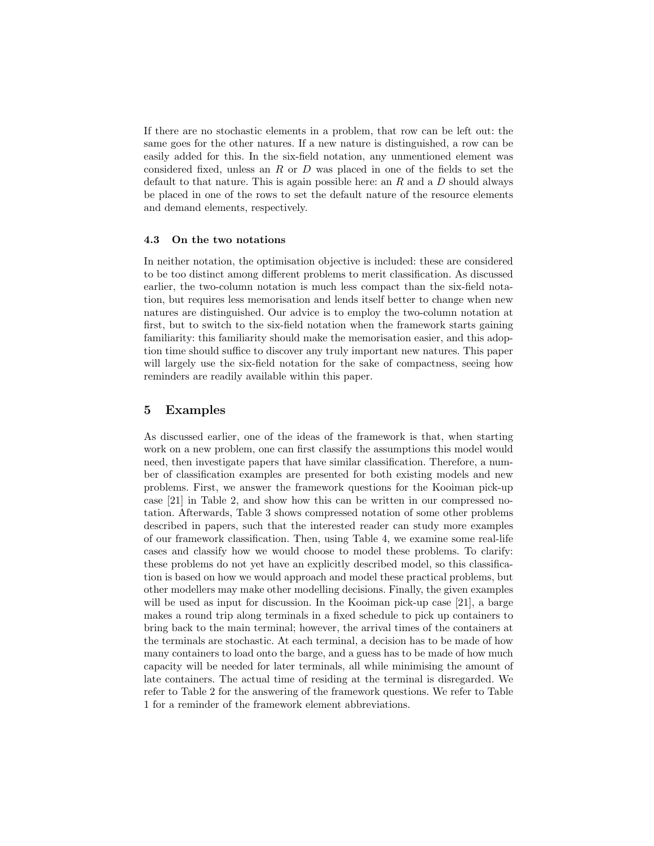If there are no stochastic elements in a problem, that row can be left out: the same goes for the other natures. If a new nature is distinguished, a row can be easily added for this. In the six-field notation, any unmentioned element was considered fixed, unless an  $R$  or  $D$  was placed in one of the fields to set the default to that nature. This is again possible here: an  $R$  and a  $D$  should always be placed in one of the rows to set the default nature of the resource elements and demand elements, respectively.

#### 4.3 On the two notations

In neither notation, the optimisation objective is included: these are considered to be too distinct among different problems to merit classification. As discussed earlier, the two-column notation is much less compact than the six-field notation, but requires less memorisation and lends itself better to change when new natures are distinguished. Our advice is to employ the two-column notation at first, but to switch to the six-field notation when the framework starts gaining familiarity: this familiarity should make the memorisation easier, and this adoption time should suffice to discover any truly important new natures. This paper will largely use the six-field notation for the sake of compactness, seeing how reminders are readily available within this paper.

#### 5 Examples

As discussed earlier, one of the ideas of the framework is that, when starting work on a new problem, one can first classify the assumptions this model would need, then investigate papers that have similar classification. Therefore, a number of classification examples are presented for both existing models and new problems. First, we answer the framework questions for the Kooiman pick-up case [21] in Table 2, and show how this can be written in our compressed notation. Afterwards, Table 3 shows compressed notation of some other problems described in papers, such that the interested reader can study more examples of our framework classification. Then, using Table 4, we examine some real-life cases and classify how we would choose to model these problems. To clarify: these problems do not yet have an explicitly described model, so this classification is based on how we would approach and model these practical problems, but other modellers may make other modelling decisions. Finally, the given examples will be used as input for discussion. In the Kooiman pick-up case [21], a barge makes a round trip along terminals in a fixed schedule to pick up containers to bring back to the main terminal; however, the arrival times of the containers at the terminals are stochastic. At each terminal, a decision has to be made of how many containers to load onto the barge, and a guess has to be made of how much capacity will be needed for later terminals, all while minimising the amount of late containers. The actual time of residing at the terminal is disregarded. We refer to Table 2 for the answering of the framework questions. We refer to Table 1 for a reminder of the framework element abbreviations.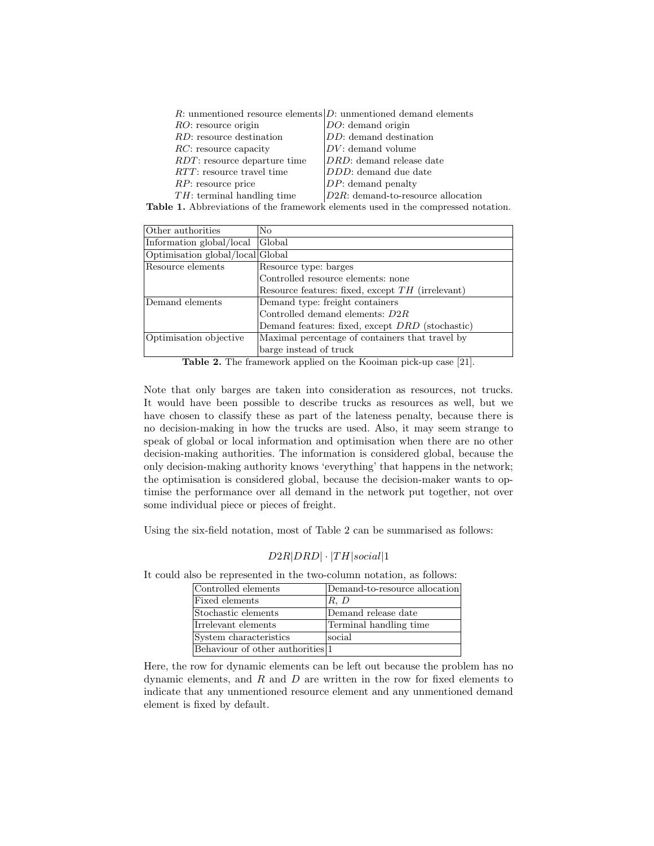|                                      | R: unmentioned resource elements $D$ : unmentioned demand elements               |
|--------------------------------------|----------------------------------------------------------------------------------|
| $RO:$ resource origin                | $DO:$ demand origin                                                              |
| RD: resource destination             | $DD$ : demand destination                                                        |
| $RC:$ resource capacity              | $DV:$ demand volume                                                              |
| <i>RDT</i> : resource departure time | <i>DRD</i> : demand release date                                                 |
| <i>RTT</i> : resource travel time    | <i>DDD</i> : demand due date                                                     |
| $RP$ : resource price                | $DP:$ demand penalty                                                             |
| $TH:$ terminal handling time         | $D2R$ : demand-to-resource allocation                                            |
|                                      | <b>1</b> Abbroviations of the framework elements used in the compressed notation |

Table 1. Abbreviations of the framework elements used in the compressed notation.

| Other authorities                | N <sub>0</sub>                                     |
|----------------------------------|----------------------------------------------------|
| Information global/local         | Global                                             |
| Optimisation global/local Global |                                                    |
| Resource elements                | Resource type: barges                              |
|                                  | Controlled resource elements: none                 |
|                                  | Resource features: fixed, except $TH$ (irrelevant) |
| Demand elements                  | Demand type: freight containers                    |
|                                  | Controlled demand elements: $D2R$                  |
|                                  | Demand features: fixed, except DRD (stochastic)    |
| Optimisation objective           | Maximal percentage of containers that travel by    |
|                                  | barge instead of truck                             |

Table 2. The framework applied on the Kooiman pick-up case [21].

Note that only barges are taken into consideration as resources, not trucks. It would have been possible to describe trucks as resources as well, but we have chosen to classify these as part of the lateness penalty, because there is no decision-making in how the trucks are used. Also, it may seem strange to speak of global or local information and optimisation when there are no other decision-making authorities. The information is considered global, because the only decision-making authority knows 'everything' that happens in the network; the optimisation is considered global, because the decision-maker wants to optimise the performance over all demand in the network put together, not over some individual piece or pieces of freight.

Using the six-field notation, most of Table 2 can be summarised as follows:

#### $D2R|DRD| \cdot |TH|social|1$

It could also be represented in the two-column notation, as follows:

| Controlled elements              | Demand-to-resource allocation |
|----------------------------------|-------------------------------|
| Fixed elements                   | R, D                          |
| Stochastic elements              | Demand release date           |
| Irrelevant elements              | Terminal handling time        |
| System characteristics           | social                        |
| Behaviour of other authorities 1 |                               |

Here, the row for dynamic elements can be left out because the problem has no dynamic elements, and  $R$  and  $D$  are written in the row for fixed elements to indicate that any unmentioned resource element and any unmentioned demand element is fixed by default.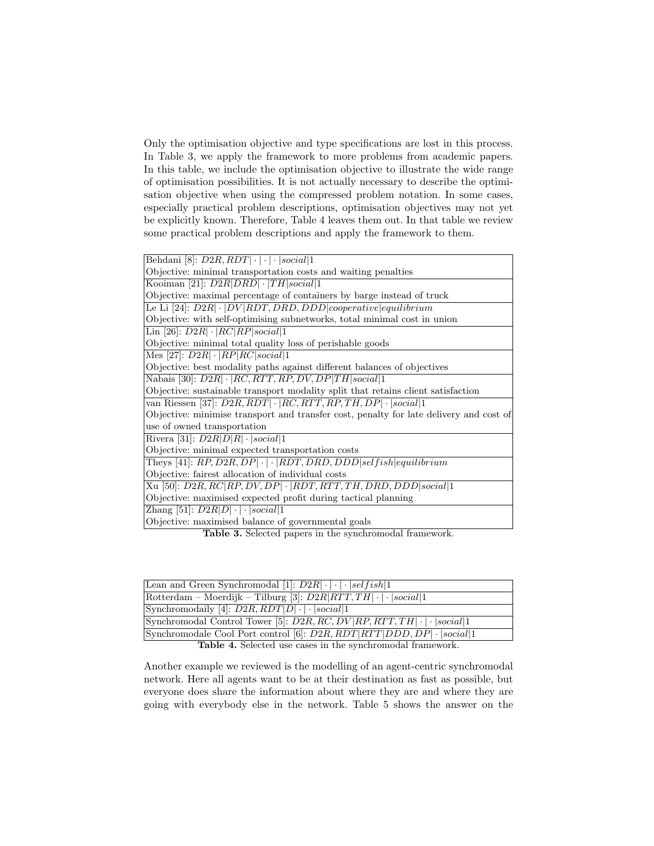Only the optimisation objective and type specifications are lost in this process. In Table 3, we apply the framework to more problems from academic papers. In this table, we include the optimisation objective to illustrate the wide range of optimisation possibilities. It is not actually necessary to describe the optimisation objective when using the compressed problem notation. In some cases, especially practical problem descriptions, optimisation objectives may not yet be explicitly known. Therefore, Table 4 leaves them out. In that table we review some practical problem descriptions and apply the framework to them.

| Behdani [8]: $D2R, RDT \cdot \cdot $ social [1]                                        |
|----------------------------------------------------------------------------------------|
| Objective: minimal transportation costs and waiting penalties                          |
| Kooiman [21]: $D2R DRD  \cdot  TH $ social[1                                           |
| Objective: maximal percentage of containers by barge instead of truck                  |
| Le Li [24]: $D2R\overline{]} \cdot  DV  RDT, DRD, DDD  cooperative  equilibrium$       |
| Objective: with self-optimising subnetworks, total minimal cost in union               |
| Lin [26]: $D2R  \cdot  RC RP  social 1$                                                |
| Objective: minimal total quality loss of perishable goods                              |
| Mes [27]: $D2R$   $ RP RC social 1$                                                    |
| Objective: best modality paths against different balances of objectives                |
| Nabais [30]: $D2R \cdot RC, RTT, RP, DV, DP TH social 1$                               |
| Objective: sustainable transport modality split that retains client satisfaction       |
| van Riessen [37]: $D2R, RDT\$   $ RC, RTT, RP, TH, DP $   $ social 1$                  |
| Objective: minimise transport and transfer cost, penalty for late delivery and cost of |
| use of owned transportation                                                            |
| Rivera [31]: $D2R D R  \cdot  social 1$                                                |
| Objective: minimal expected transportation costs                                       |
| Theys [41]: $RP, D2R, DP \cdot   \cdot   RDT, DRD, DDD  selfish   equilibrium$         |
| Objective: fairest allocation of individual costs                                      |
| Xu [50]: $D2R, RC RP, DV, DP  \cdot  RDT, RTT, TH, DRD, DDD  social 1$                 |
| Objective: maximised expected profit during tactical planning                          |
| Zhang [51]: $D2R D \cdot \cdot \text{social} 1$                                        |
| Objective: maximised balance of governmental goals                                     |
|                                                                                        |

Table 3. Selected papers in the synchromodal framework.

| Lean and Green Synchromodal [1]: $D2R \cdot \cdot \cdot $ selfish   1                       |
|---------------------------------------------------------------------------------------------|
| $ Rotterdam - Moerdijk - Tilburg [3]: D2R RTT, TH \cdot  \cdot  social 1$                   |
| Synchromodaily [4]: $D2R, RDT D $ . $\sqrt{ Social 1 }$                                     |
| Synchromodal Control Tower [5]: $D2R, RC, DV   RP, RT\overline{T, TH} \cdot \cdot social 1$ |
| Synchromodale Cool Port control [6]: $\overline{D2R, RDT RTT DDD, DP  \cdot  social 1}$     |
| Table 4. Selected use cases in the synchromodal framework                                   |

Table 4. Selected use cases in the synchromodal framework.

Another example we reviewed is the modelling of an agent-centric synchromodal network. Here all agents want to be at their destination as fast as possible, but everyone does share the information about where they are and where they are going with everybody else in the network. Table 5 shows the answer on the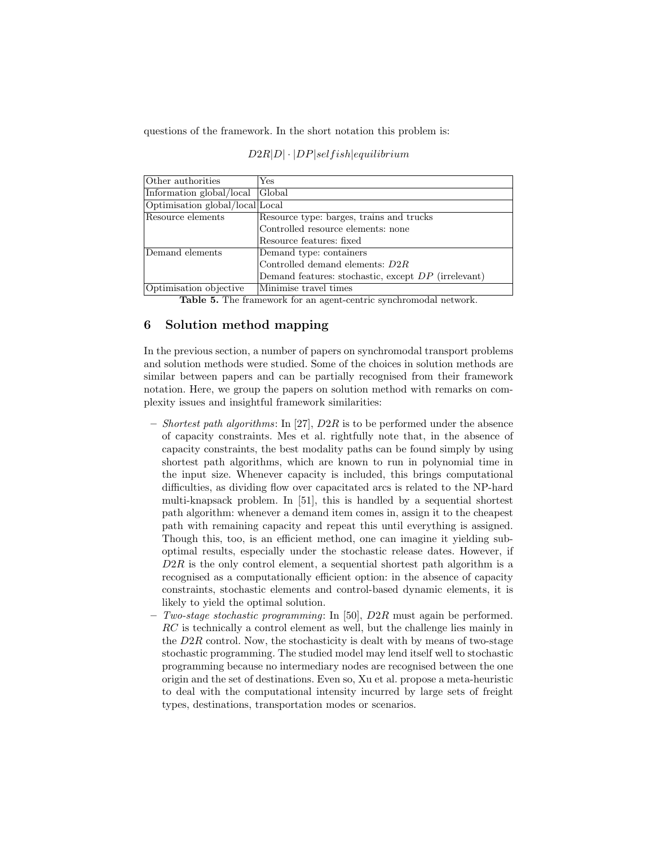questions of the framework. In the short notation this problem is:

| Other authorities               | Yes                                                   |
|---------------------------------|-------------------------------------------------------|
| Information global/local        | Global                                                |
| Optimisation global/local Local |                                                       |
| Resource elements               | Resource type: barges, trains and trucks              |
|                                 | Controlled resource elements: none                    |
|                                 | Resource features: fixed                              |
| Demand elements                 | Demand type: containers                               |
|                                 | Controlled demand elements: $D2R$                     |
|                                 | Demand features: stochastic, except $DP$ (irrelevant) |
| Optimisation objective          | Minimise travel times                                 |

 $D2R|D| \cdot |DP| selfish| equilibrium$ 

Table 5. The framework for an agent-centric synchromodal network.

## 6 Solution method mapping

In the previous section, a number of papers on synchromodal transport problems and solution methods were studied. Some of the choices in solution methods are similar between papers and can be partially recognised from their framework notation. Here, we group the papers on solution method with remarks on complexity issues and insightful framework similarities:

- Shortest path algorithms: In [27],  $D2R$  is to be performed under the absence of capacity constraints. Mes et al. rightfully note that, in the absence of capacity constraints, the best modality paths can be found simply by using shortest path algorithms, which are known to run in polynomial time in the input size. Whenever capacity is included, this brings computational difficulties, as dividing flow over capacitated arcs is related to the NP-hard multi-knapsack problem. In [51], this is handled by a sequential shortest path algorithm: whenever a demand item comes in, assign it to the cheapest path with remaining capacity and repeat this until everything is assigned. Though this, too, is an efficient method, one can imagine it yielding suboptimal results, especially under the stochastic release dates. However, if  $D2R$  is the only control element, a sequential shortest path algorithm is a recognised as a computationally efficient option: in the absence of capacity constraints, stochastic elements and control-based dynamic elements, it is likely to yield the optimal solution.
- Two-stage stochastic programming: In [50],  $D2R$  must again be performed. RC is technically a control element as well, but the challenge lies mainly in the  $D2R$  control. Now, the stochasticity is dealt with by means of two-stage stochastic programming. The studied model may lend itself well to stochastic programming because no intermediary nodes are recognised between the one origin and the set of destinations. Even so, Xu et al. propose a meta-heuristic to deal with the computational intensity incurred by large sets of freight types, destinations, transportation modes or scenarios.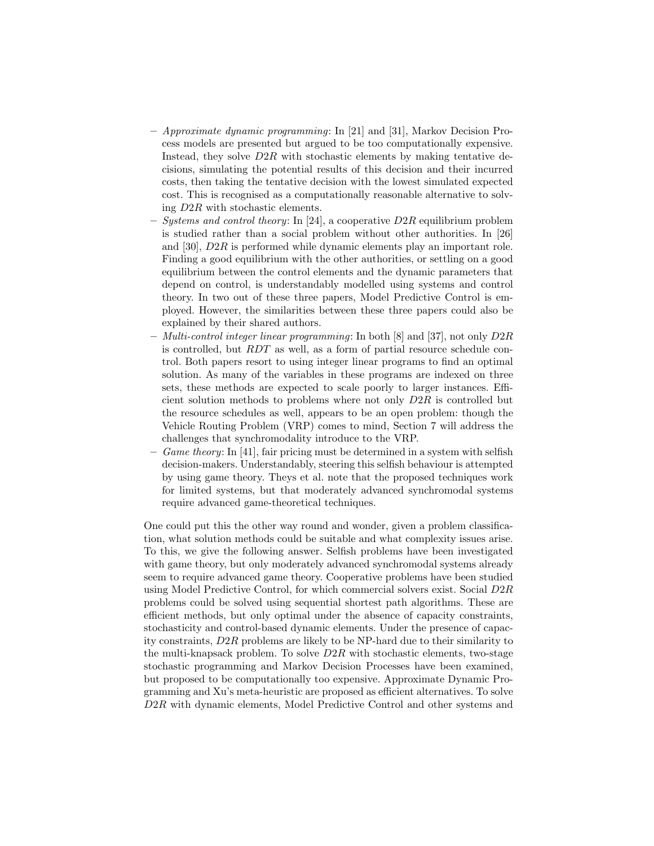- Approximate dynamic programming: In [21] and [31], Markov Decision Process models are presented but argued to be too computationally expensive. Instead, they solve  $D2R$  with stochastic elements by making tentative decisions, simulating the potential results of this decision and their incurred costs, then taking the tentative decision with the lowest simulated expected cost. This is recognised as a computationally reasonable alternative to solving D2R with stochastic elements.
- Systems and control theory: In [24], a cooperative  $D2R$  equilibrium problem is studied rather than a social problem without other authorities. In [26] and [30], D2R is performed while dynamic elements play an important role. Finding a good equilibrium with the other authorities, or settling on a good equilibrium between the control elements and the dynamic parameters that depend on control, is understandably modelled using systems and control theory. In two out of these three papers, Model Predictive Control is employed. However, the similarities between these three papers could also be explained by their shared authors.
- $-$  Multi-control integer linear programming: In both [8] and [37], not only  $D2R$ is controlled, but RDT as well, as a form of partial resource schedule control. Both papers resort to using integer linear programs to find an optimal solution. As many of the variables in these programs are indexed on three sets, these methods are expected to scale poorly to larger instances. Efficient solution methods to problems where not only D2R is controlled but the resource schedules as well, appears to be an open problem: though the Vehicle Routing Problem (VRP) comes to mind, Section 7 will address the challenges that synchromodality introduce to the VRP.
- $-$  Game theory: In [41], fair pricing must be determined in a system with selfish decision-makers. Understandably, steering this selfish behaviour is attempted by using game theory. Theys et al. note that the proposed techniques work for limited systems, but that moderately advanced synchromodal systems require advanced game-theoretical techniques.

One could put this the other way round and wonder, given a problem classification, what solution methods could be suitable and what complexity issues arise. To this, we give the following answer. Selfish problems have been investigated with game theory, but only moderately advanced synchromodal systems already seem to require advanced game theory. Cooperative problems have been studied using Model Predictive Control, for which commercial solvers exist. Social D2R problems could be solved using sequential shortest path algorithms. These are efficient methods, but only optimal under the absence of capacity constraints, stochasticity and control-based dynamic elements. Under the presence of capacity constraints, D2R problems are likely to be NP-hard due to their similarity to the multi-knapsack problem. To solve  $D2R$  with stochastic elements, two-stage stochastic programming and Markov Decision Processes have been examined, but proposed to be computationally too expensive. Approximate Dynamic Programming and Xu's meta-heuristic are proposed as efficient alternatives. To solve D2R with dynamic elements, Model Predictive Control and other systems and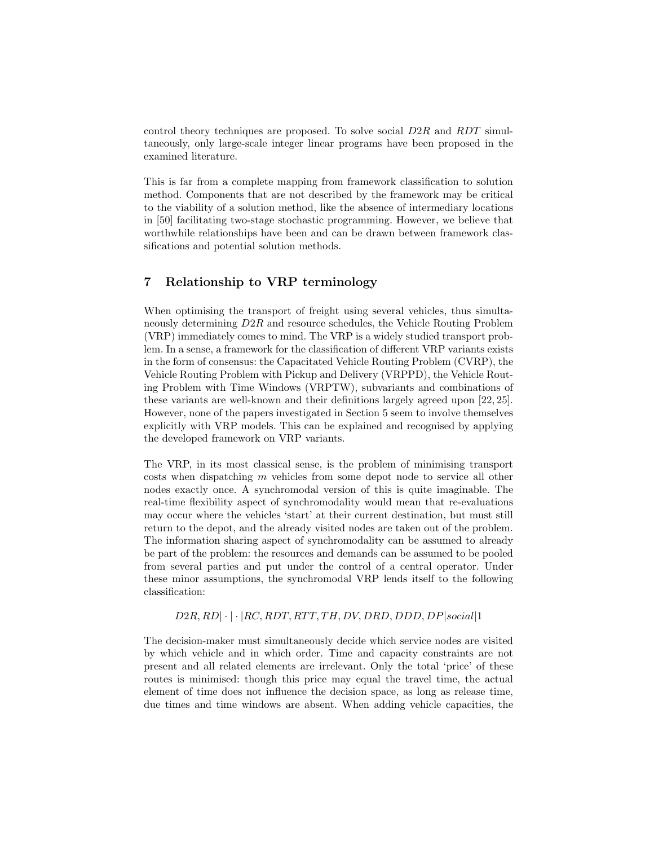control theory techniques are proposed. To solve social  $D2R$  and  $RDT$  simultaneously, only large-scale integer linear programs have been proposed in the examined literature.

This is far from a complete mapping from framework classification to solution method. Components that are not described by the framework may be critical to the viability of a solution method, like the absence of intermediary locations in [50] facilitating two-stage stochastic programming. However, we believe that worthwhile relationships have been and can be drawn between framework classifications and potential solution methods.

## 7 Relationship to VRP terminology

When optimising the transport of freight using several vehicles, thus simultaneously determining D2R and resource schedules, the Vehicle Routing Problem (VRP) immediately comes to mind. The VRP is a widely studied transport problem. In a sense, a framework for the classification of different VRP variants exists in the form of consensus: the Capacitated Vehicle Routing Problem (CVRP), the Vehicle Routing Problem with Pickup and Delivery (VRPPD), the Vehicle Routing Problem with Time Windows (VRPTW), subvariants and combinations of these variants are well-known and their definitions largely agreed upon [22, 25]. However, none of the papers investigated in Section 5 seem to involve themselves explicitly with VRP models. This can be explained and recognised by applying the developed framework on VRP variants.

The VRP, in its most classical sense, is the problem of minimising transport costs when dispatching  $m$  vehicles from some depot node to service all other nodes exactly once. A synchromodal version of this is quite imaginable. The real-time flexibility aspect of synchromodality would mean that re-evaluations may occur where the vehicles 'start' at their current destination, but must still return to the depot, and the already visited nodes are taken out of the problem. The information sharing aspect of synchromodality can be assumed to already be part of the problem: the resources and demands can be assumed to be pooled from several parties and put under the control of a central operator. Under these minor assumptions, the synchromodal VRP lends itself to the following classification:

#### $D2R, RD$ | ·  $| \cdot | RC, RDT, RTT, TH, DV, DRD, DDD, DP | social|1$

The decision-maker must simultaneously decide which service nodes are visited by which vehicle and in which order. Time and capacity constraints are not present and all related elements are irrelevant. Only the total 'price' of these routes is minimised: though this price may equal the travel time, the actual element of time does not influence the decision space, as long as release time, due times and time windows are absent. When adding vehicle capacities, the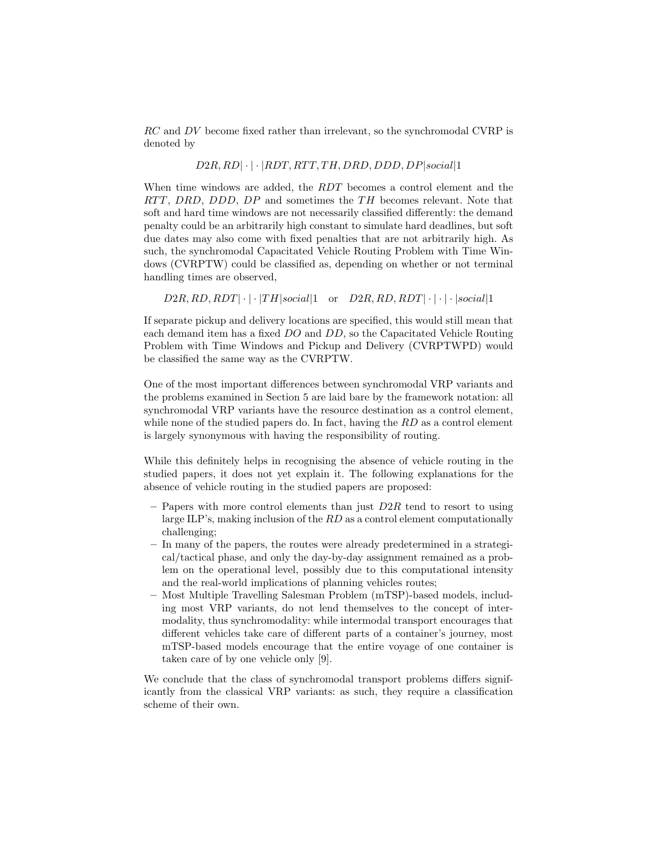RC and DV become fixed rather than irrelevant, so the synchromodal CVRP is denoted by

 $D2R, RD$ | · | ·  $|RDT, RTT, TH, DRD, DDD, DP| social|1$ 

When time windows are added, the RDT becomes a control element and the  $RTT$ ,  $DRD$ ,  $DDD$ ,  $DP$  and sometimes the  $TH$  becomes relevant. Note that soft and hard time windows are not necessarily classified differently: the demand penalty could be an arbitrarily high constant to simulate hard deadlines, but soft due dates may also come with fixed penalties that are not arbitrarily high. As such, the synchromodal Capacitated Vehicle Routing Problem with Time Windows (CVRPTW) could be classified as, depending on whether or not terminal handling times are observed,

```
D2R, RD, RDT|\cdot|\cdot|TH|social|1 or D2R, RD, RDT|\cdot|\cdot|\cdot|social|1
```
If separate pickup and delivery locations are specified, this would still mean that each demand item has a fixed DO and DD, so the Capacitated Vehicle Routing Problem with Time Windows and Pickup and Delivery (CVRPTWPD) would be classified the same way as the CVRPTW.

One of the most important differences between synchromodal VRP variants and the problems examined in Section 5 are laid bare by the framework notation: all synchromodal VRP variants have the resource destination as a control element, while none of the studied papers do. In fact, having the  $RD$  as a control element is largely synonymous with having the responsibility of routing.

While this definitely helps in recognising the absence of vehicle routing in the studied papers, it does not yet explain it. The following explanations for the absence of vehicle routing in the studied papers are proposed:

- Papers with more control elements than just  $D2R$  tend to resort to using large ILP's, making inclusion of the  $RD$  as a control element computationally challenging;
- In many of the papers, the routes were already predetermined in a strategical/tactical phase, and only the day-by-day assignment remained as a problem on the operational level, possibly due to this computational intensity and the real-world implications of planning vehicles routes;
- Most Multiple Travelling Salesman Problem (mTSP)-based models, including most VRP variants, do not lend themselves to the concept of intermodality, thus synchromodality: while intermodal transport encourages that different vehicles take care of different parts of a container's journey, most mTSP-based models encourage that the entire voyage of one container is taken care of by one vehicle only [9].

We conclude that the class of synchromodal transport problems differs significantly from the classical VRP variants: as such, they require a classification scheme of their own.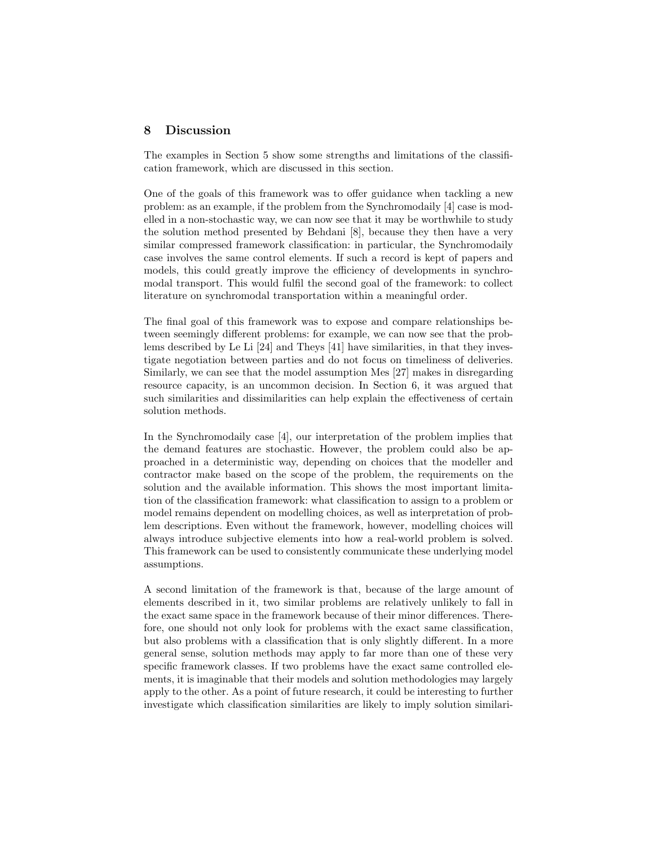### 8 Discussion

The examples in Section 5 show some strengths and limitations of the classification framework, which are discussed in this section.

One of the goals of this framework was to offer guidance when tackling a new problem: as an example, if the problem from the Synchromodaily [4] case is modelled in a non-stochastic way, we can now see that it may be worthwhile to study the solution method presented by Behdani [8], because they then have a very similar compressed framework classification: in particular, the Synchromodaily case involves the same control elements. If such a record is kept of papers and models, this could greatly improve the efficiency of developments in synchromodal transport. This would fulfil the second goal of the framework: to collect literature on synchromodal transportation within a meaningful order.

The final goal of this framework was to expose and compare relationships between seemingly different problems: for example, we can now see that the problems described by Le Li [24] and Theys [41] have similarities, in that they investigate negotiation between parties and do not focus on timeliness of deliveries. Similarly, we can see that the model assumption Mes [27] makes in disregarding resource capacity, is an uncommon decision. In Section 6, it was argued that such similarities and dissimilarities can help explain the effectiveness of certain solution methods.

In the Synchromodaily case [4], our interpretation of the problem implies that the demand features are stochastic. However, the problem could also be approached in a deterministic way, depending on choices that the modeller and contractor make based on the scope of the problem, the requirements on the solution and the available information. This shows the most important limitation of the classification framework: what classification to assign to a problem or model remains dependent on modelling choices, as well as interpretation of problem descriptions. Even without the framework, however, modelling choices will always introduce subjective elements into how a real-world problem is solved. This framework can be used to consistently communicate these underlying model assumptions.

A second limitation of the framework is that, because of the large amount of elements described in it, two similar problems are relatively unlikely to fall in the exact same space in the framework because of their minor differences. Therefore, one should not only look for problems with the exact same classification, but also problems with a classification that is only slightly different. In a more general sense, solution methods may apply to far more than one of these very specific framework classes. If two problems have the exact same controlled elements, it is imaginable that their models and solution methodologies may largely apply to the other. As a point of future research, it could be interesting to further investigate which classification similarities are likely to imply solution similari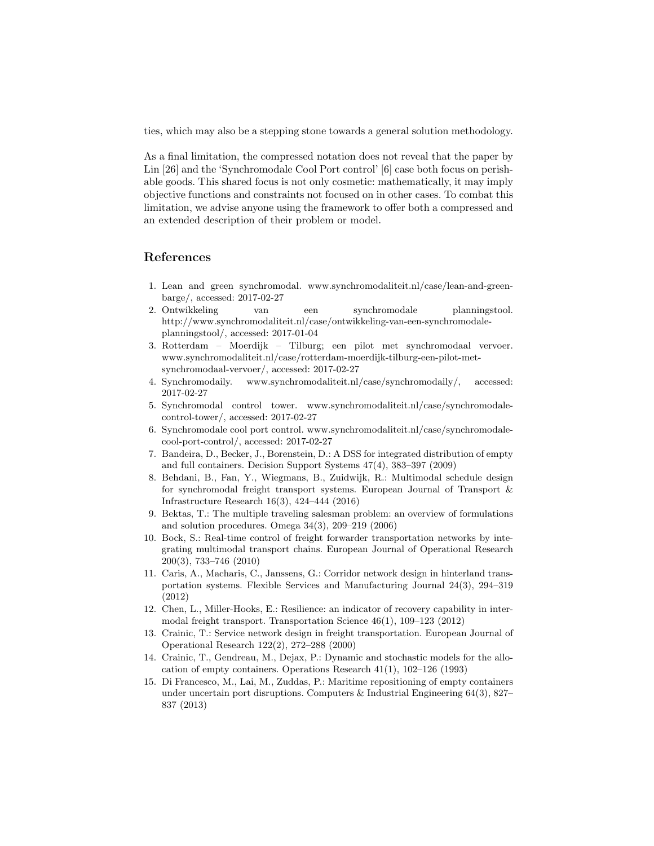ties, which may also be a stepping stone towards a general solution methodology.

As a final limitation, the compressed notation does not reveal that the paper by Lin [26] and the 'Synchromodale Cool Port control' [6] case both focus on perishable goods. This shared focus is not only cosmetic: mathematically, it may imply objective functions and constraints not focused on in other cases. To combat this limitation, we advise anyone using the framework to offer both a compressed and an extended description of their problem or model.

### References

- 1. Lean and green synchromodal. www.synchromodaliteit.nl/case/lean-and-greenbarge/, accessed: 2017-02-27
- 2. Ontwikkeling van een synchromodale planningstool. http://www.synchromodaliteit.nl/case/ontwikkeling-van-een-synchromodaleplanningstool/, accessed: 2017-01-04
- 3. Rotterdam Moerdijk Tilburg; een pilot met synchromodaal vervoer. www.synchromodaliteit.nl/case/rotterdam-moerdijk-tilburg-een-pilot-metsynchromodaal-vervoer/, accessed: 2017-02-27
- 4. Synchromodaily. www.synchromodaliteit.nl/case/synchromodaily/, accessed: 2017-02-27
- 5. Synchromodal control tower. www.synchromodaliteit.nl/case/synchromodalecontrol-tower/, accessed: 2017-02-27
- 6. Synchromodale cool port control. www.synchromodaliteit.nl/case/synchromodalecool-port-control/, accessed: 2017-02-27
- 7. Bandeira, D., Becker, J., Borenstein, D.: A DSS for integrated distribution of empty and full containers. Decision Support Systems 47(4), 383–397 (2009)
- 8. Behdani, B., Fan, Y., Wiegmans, B., Zuidwijk, R.: Multimodal schedule design for synchromodal freight transport systems. European Journal of Transport & Infrastructure Research 16(3), 424–444 (2016)
- 9. Bektas, T.: The multiple traveling salesman problem: an overview of formulations and solution procedures. Omega 34(3), 209–219 (2006)
- 10. Bock, S.: Real-time control of freight forwarder transportation networks by integrating multimodal transport chains. European Journal of Operational Research 200(3), 733–746 (2010)
- 11. Caris, A., Macharis, C., Janssens, G.: Corridor network design in hinterland transportation systems. Flexible Services and Manufacturing Journal 24(3), 294–319 (2012)
- 12. Chen, L., Miller-Hooks, E.: Resilience: an indicator of recovery capability in intermodal freight transport. Transportation Science 46(1), 109–123 (2012)
- 13. Crainic, T.: Service network design in freight transportation. European Journal of Operational Research 122(2), 272–288 (2000)
- 14. Crainic, T., Gendreau, M., Dejax, P.: Dynamic and stochastic models for the allocation of empty containers. Operations Research 41(1), 102–126 (1993)
- 15. Di Francesco, M., Lai, M., Zuddas, P.: Maritime repositioning of empty containers under uncertain port disruptions. Computers & Industrial Engineering 64(3), 827– 837 (2013)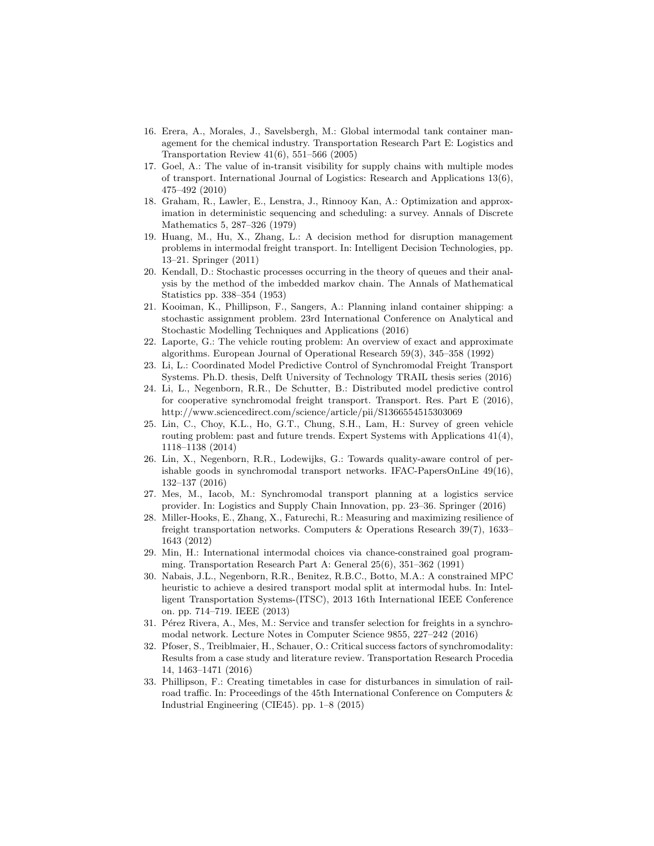- 16. Erera, A., Morales, J., Savelsbergh, M.: Global intermodal tank container management for the chemical industry. Transportation Research Part E: Logistics and Transportation Review 41(6), 551–566 (2005)
- 17. Goel, A.: The value of in-transit visibility for supply chains with multiple modes of transport. International Journal of Logistics: Research and Applications 13(6), 475–492 (2010)
- 18. Graham, R., Lawler, E., Lenstra, J., Rinnooy Kan, A.: Optimization and approximation in deterministic sequencing and scheduling: a survey. Annals of Discrete Mathematics 5, 287–326 (1979)
- 19. Huang, M., Hu, X., Zhang, L.: A decision method for disruption management problems in intermodal freight transport. In: Intelligent Decision Technologies, pp. 13–21. Springer (2011)
- 20. Kendall, D.: Stochastic processes occurring in the theory of queues and their analysis by the method of the imbedded markov chain. The Annals of Mathematical Statistics pp. 338–354 (1953)
- 21. Kooiman, K., Phillipson, F., Sangers, A.: Planning inland container shipping: a stochastic assignment problem. 23rd International Conference on Analytical and Stochastic Modelling Techniques and Applications (2016)
- 22. Laporte, G.: The vehicle routing problem: An overview of exact and approximate algorithms. European Journal of Operational Research 59(3), 345–358 (1992)
- 23. Li, L.: Coordinated Model Predictive Control of Synchromodal Freight Transport Systems. Ph.D. thesis, Delft University of Technology TRAIL thesis series (2016)
- 24. Li, L., Negenborn, R.R., De Schutter, B.: Distributed model predictive control for cooperative synchromodal freight transport. Transport. Res. Part E (2016), http://www.sciencedirect.com/science/article/pii/S1366554515303069
- 25. Lin, C., Choy, K.L., Ho, G.T., Chung, S.H., Lam, H.: Survey of green vehicle routing problem: past and future trends. Expert Systems with Applications 41(4), 1118–1138 (2014)
- 26. Lin, X., Negenborn, R.R., Lodewijks, G.: Towards quality-aware control of perishable goods in synchromodal transport networks. IFAC-PapersOnLine 49(16), 132–137 (2016)
- 27. Mes, M., Iacob, M.: Synchromodal transport planning at a logistics service provider. In: Logistics and Supply Chain Innovation, pp. 23–36. Springer (2016)
- 28. Miller-Hooks, E., Zhang, X., Faturechi, R.: Measuring and maximizing resilience of freight transportation networks. Computers & Operations Research 39(7), 1633– 1643 (2012)
- 29. Min, H.: International intermodal choices via chance-constrained goal programming. Transportation Research Part A: General 25(6), 351–362 (1991)
- 30. Nabais, J.L., Negenborn, R.R., Benitez, R.B.C., Botto, M.A.: A constrained MPC heuristic to achieve a desired transport modal split at intermodal hubs. In: Intelligent Transportation Systems-(ITSC), 2013 16th International IEEE Conference on. pp. 714–719. IEEE (2013)
- 31. Pérez Rivera, A., Mes, M.: Service and transfer selection for freights in a synchromodal network. Lecture Notes in Computer Science 9855, 227–242 (2016)
- 32. Pfoser, S., Treiblmaier, H., Schauer, O.: Critical success factors of synchromodality: Results from a case study and literature review. Transportation Research Procedia 14, 1463–1471 (2016)
- 33. Phillipson, F.: Creating timetables in case for disturbances in simulation of railroad traffic. In: Proceedings of the 45th International Conference on Computers & Industrial Engineering (CIE45). pp. 1–8 (2015)